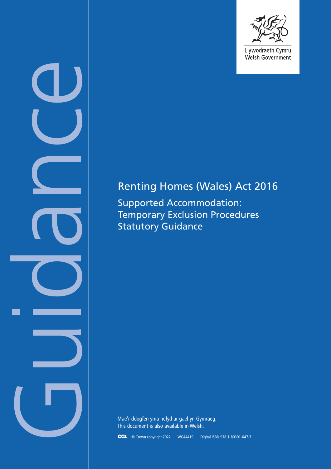

Welsh Government

# Renting Homes (Wales) Act 2016

Supported Accommodation: Temporary Exclusion Procedures Statutory Guidance

Company Co

Mae'r ddogfen yma hefyd ar gael yn Gymraeg. This document is also available in Welsh.

© Crown copyright 2022 WG44419 Digital ISBN 978-1-80391-647-7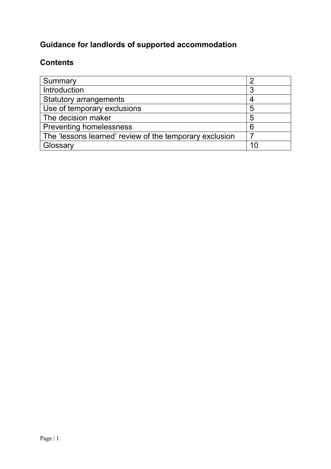# **Guidance for landlords of supported accommodation**

### **Contents**

| Summary                                                 |   |
|---------------------------------------------------------|---|
| Introduction                                            |   |
| <b>Statutory arrangements</b>                           |   |
| Use of temporary exclusions                             | 5 |
| The decision maker                                      | 5 |
| <b>Preventing homelessness</b>                          | 6 |
| The 'lessons learned' review of the temporary exclusion |   |
| Glossary                                                |   |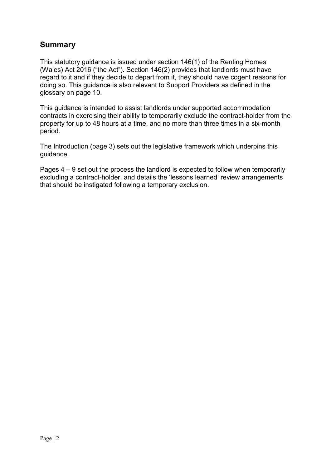#### **Summary**

This statutory guidance is issued under section 146(1) of the Renting Homes (Wales) Act 2016 ("the Act"). Section 146(2) provides that landlords must have regard to it and if they decide to depart from it, they should have cogent reasons for doing so. This guidance is also relevant to Support Providers as defined in the glossary on page 10.

This guidance is intended to assist landlords under supported accommodation contracts in exercising their ability to temporarily exclude the contract-holder from the property for up to 48 hours at a time, and no more than three times in a six-month period.

The Introduction (page 3) sets out the legislative framework which underpins this guidance.

Pages 4 – 9 set out the process the landlord is expected to follow when temporarily excluding a contract-holder, and details the 'lessons learned' review arrangements that should be instigated following a temporary exclusion.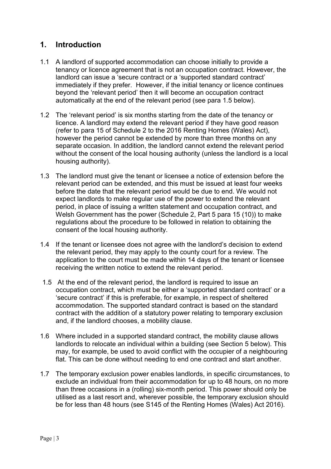#### **1. Introduction**

- 1.1 A landlord of supported accommodation can choose initially to provide a tenancy or licence agreement that is not an occupation contract. However, the landlord can issue a 'secure contract or a 'supported standard contract' immediately if they prefer. However, if the initial tenancy or licence continues beyond the 'relevant period' then it will become an occupation contract automatically at the end of the relevant period (see para 1.5 below).
- 1.2 The 'relevant period' is six months starting from the date of the tenancy or licence. A landlord may extend the relevant period if they have good reason (refer to para 15 of Schedule 2 to the 2016 Renting Homes (Wales) Act), however the period cannot be extended by more than three months on any separate occasion. In addition, the landlord cannot extend the relevant period without the consent of the local housing authority (unless the landlord is a local housing authority).
- 1.3 The landlord must give the tenant or licensee a notice of extension before the relevant period can be extended, and this must be issued at least four weeks before the date that the relevant period would be due to end. We would not expect landlords to make regular use of the power to extend the relevant period, in place of issuing a written statement and occupation contract, and Welsh Government has the power (Schedule 2, Part 5 para 15 (10)) to make regulations about the procedure to be followed in relation to obtaining the consent of the local housing authority.
- 1.4 If the tenant or licensee does not agree with the landlord's decision to extend the relevant period, they may apply to the county court for a review. The application to the court must be made within 14 days of the tenant or licensee receiving the written notice to extend the relevant period.
- 1.5 At the end of the relevant period, the landlord is required to issue an occupation contract, which must be either a 'supported standard contract' or a 'secure contract' if this is preferable, for example, in respect of sheltered accommodation. The supported standard contract is based on the standard contract with the addition of a statutory power relating to temporary exclusion and, if the landlord chooses, a mobility clause.
- 1.6 Where included in a supported standard contract, the mobility clause allows landlords to relocate an individual within a building (see Section 5 below). This may, for example, be used to avoid conflict with the occupier of a neighbouring flat. This can be done without needing to end one contract and start another.
- 1.7 The temporary exclusion power enables landlords, in specific circumstances, to exclude an individual from their accommodation for up to 48 hours, on no more than three occasions in a (rolling) six-month period. This power should only be utilised as a last resort and, wherever possible, the temporary exclusion should be for less than 48 hours (see S145 of the Renting Homes (Wales) Act 2016).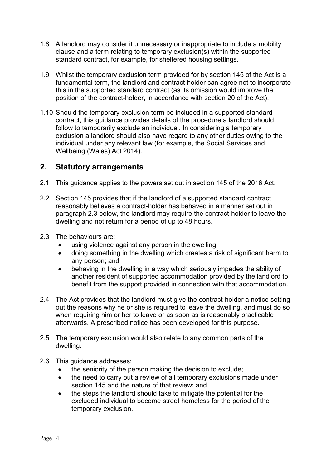- 1.8 A landlord may consider it unnecessary or inappropriate to include a mobility clause and a term relating to temporary exclusion(s) within the supported standard contract, for example, for sheltered housing settings.
- 1.9 Whilst the temporary exclusion term provided for by section 145 of the Act is a fundamental term, the landlord and contract-holder can agree not to incorporate this in the supported standard contract (as its omission would improve the position of the contract-holder, in accordance with section 20 of the Act).
- 1.10 Should the temporary exclusion term be included in a supported standard contract, this guidance provides details of the procedure a landlord should follow to temporarily exclude an individual. In considering a temporary exclusion a landlord should also have regard to any other duties owing to the individual under any relevant law (for example, the Social Services and Wellbeing (Wales) Act 2014).

#### **2. Statutory arrangements**

- 2.1 This guidance applies to the powers set out in section 145 of the 2016 Act.
- 2.2 Section 145 provides that if the landlord of a supported standard contract reasonably believes a contract-holder has behaved in a manner set out in paragraph 2.3 below, the landlord may require the contract-holder to leave the dwelling and not return for a period of up to 48 hours.
- 2.3 The behaviours are:
	- using violence against any person in the dwelling;
	- doing something in the dwelling which creates a risk of significant harm to any person; and
	- behaving in the dwelling in a way which seriously impedes the ability of another resident of supported accommodation provided by the landlord to benefit from the support provided in connection with that accommodation.
- 2.4 The Act provides that the landlord must give the contract-holder a notice setting out the reasons why he or she is required to leave the dwelling, and must do so when requiring him or her to leave or as soon as is reasonably practicable afterwards. A prescribed notice has been developed for this purpose.
- 2.5 The temporary exclusion would also relate to any common parts of the dwelling.
- 2.6 This guidance addresses:
	- the seniority of the person making the decision to exclude;
	- the need to carry out a review of all temporary exclusions made under section 145 and the nature of that review; and
	- the steps the landlord should take to mitigate the potential for the excluded individual to become street homeless for the period of the temporary exclusion.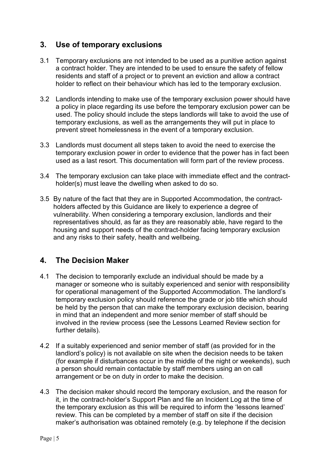#### **3. Use of temporary exclusions**

- 3.1 Temporary exclusions are not intended to be used as a punitive action against a contract holder. They are intended to be used to ensure the safety of fellow residents and staff of a project or to prevent an eviction and allow a contract holder to reflect on their behaviour which has led to the temporary exclusion.
- 3.2 Landlords intending to make use of the temporary exclusion power should have a policy in place regarding its use before the temporary exclusion power can be used. The policy should include the steps landlords will take to avoid the use of temporary exclusions, as well as the arrangements they will put in place to prevent street homelessness in the event of a temporary exclusion.
- 3.3 Landlords must document all steps taken to avoid the need to exercise the temporary exclusion power in order to evidence that the power has in fact been used as a last resort. This documentation will form part of the review process.
- 3.4 The temporary exclusion can take place with immediate effect and the contractholder(s) must leave the dwelling when asked to do so.
- 3.5 By nature of the fact that they are in Supported Accommodation, the contractholders affected by this Guidance are likely to experience a degree of vulnerability. When considering a temporary exclusion, landlords and their representatives should, as far as they are reasonably able, have regard to the housing and support needs of the contract-holder facing temporary exclusion and any risks to their safety, health and wellbeing.

#### **4. The Decision Maker**

- 4.1 The decision to temporarily exclude an individual should be made by a manager or someone who is suitably experienced and senior with responsibility for operational management of the Supported Accommodation. The landlord's temporary exclusion policy should reference the grade or job title which should be held by the person that can make the temporary exclusion decision, bearing in mind that an independent and more senior member of staff should be involved in the review process (see the Lessons Learned Review section for further details).
- 4.2 If a suitably experienced and senior member of staff (as provided for in the landlord's policy) is not available on site when the decision needs to be taken (for example if disturbances occur in the middle of the night or weekends), such a person should remain contactable by staff members using an on call arrangement or be on duty in order to make the decision.
- 4.3 The decision maker should record the temporary exclusion, and the reason for it, in the contract-holder's Support Plan and file an Incident Log at the time of the temporary exclusion as this will be required to inform the 'lessons learned' review. This can be completed by a member of staff on site if the decision maker's authorisation was obtained remotely (e.g. by telephone if the decision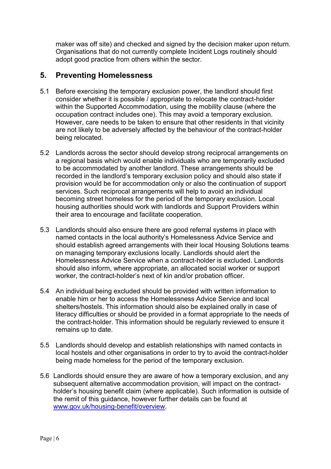maker was off site) and checked and signed by the decision maker upon return. Organisations that do not currently complete Incident Logs routinely should adopt good practice from others within the sector.

#### **5. Preventing Homelessness**

- 5.1 Before exercising the temporary exclusion power, the landlord should first consider whether it is possible / appropriate to relocate the contract-holder within the Supported Accommodation, using the mobility clause (where the occupation contract includes one). This may avoid a temporary exclusion. However, care needs to be taken to ensure that other residents in that vicinity are not likely to be adversely affected by the behaviour of the contract-holder being relocated.
- 5.2 Landlords across the sector should develop strong reciprocal arrangements on a regional basis which would enable individuals who are temporarily excluded to be accommodated by another landlord. These arrangements should be recorded in the landlord's temporary exclusion policy and should also state if provision would be for accommodation only or also the continuation of support services. Such reciprocal arrangements will help to avoid an individual becoming street homeless for the period of the temporary exclusion. Local housing authorities should work with landlords and Support Providers within their area to encourage and facilitate cooperation.
- 5.3 Landlords should also ensure there are good referral systems in place with named contacts in the local authority's Homelessness Advice Service and should establish agreed arrangements with their local Housing Solutions teams on managing temporary exclusions locally. Landlords should alert the Homelessness Advice Service when a contract-holder is excluded. Landlords should also inform, where appropriate, an allocated social worker or support worker, the contract-holder's next of kin and/or probation officer.
- 5.4 An individual being excluded should be provided with written information to enable him or her to access the Homelessness Advice Service and local shelters/hostels. This information should also be explained orally in case of literacy difficulties or should be provided in a format appropriate to the needs of the contract-holder. This information should be regularly reviewed to ensure it remains up to date.
- 5.5 Landlords should develop and establish relationships with named contacts in local hostels and other organisations in order to try to avoid the contract-holder being made homeless for the period of the temporary exclusion.
- 5.6 Landlords should ensure they are aware of how a temporary exclusion, and any subsequent alternative accommodation provision, will impact on the contractholder's housing benefit claim (where applicable). Such information is outside of the remit of this guidance, however further details can be found at [www.gov.uk/housing-benefit/overview.](http://www.gov.uk/housing-benefit/overview)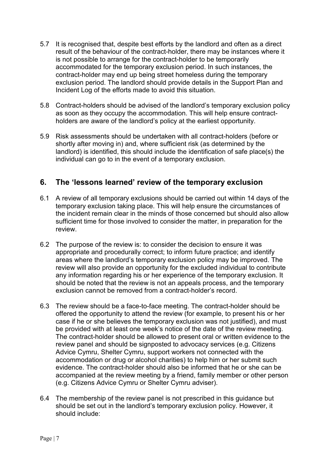- 5.7 It is recognised that, despite best efforts by the landlord and often as a direct result of the behaviour of the contract-holder, there may be instances where it is not possible to arrange for the contract-holder to be temporarily accommodated for the temporary exclusion period. In such instances, the contract-holder may end up being street homeless during the temporary exclusion period. The landlord should provide details in the Support Plan and Incident Log of the efforts made to avoid this situation.
- 5.8 Contract-holders should be advised of the landlord's temporary exclusion policy as soon as they occupy the accommodation. This will help ensure contractholders are aware of the landlord's policy at the earliest opportunity.
- 5.9 Risk assessments should be undertaken with all contract-holders (before or shortly after moving in) and, where sufficient risk (as determined by the landlord) is identified, this should include the identification of safe place(s) the individual can go to in the event of a temporary exclusion.

#### **6. The 'lessons learned' review of the temporary exclusion**

- 6.1 A review of all temporary exclusions should be carried out within 14 days of the temporary exclusion taking place. This will help ensure the circumstances of the incident remain clear in the minds of those concerned but should also allow sufficient time for those involved to consider the matter, in preparation for the review.
- 6.2 The purpose of the review is: to consider the decision to ensure it was appropriate and procedurally correct; to inform future practice; and identify areas where the landlord's temporary exclusion policy may be improved. The review will also provide an opportunity for the excluded individual to contribute any information regarding his or her experience of the temporary exclusion. It should be noted that the review is not an appeals process, and the temporary exclusion cannot be removed from a contract-holder's record.
- 6.3 The review should be a face-to-face meeting. The contract-holder should be offered the opportunity to attend the review (for example, to present his or her case if he or she believes the temporary exclusion was not justified), and must be provided with at least one week's notice of the date of the review meeting. The contract-holder should be allowed to present oral or written evidence to the review panel and should be signposted to advocacy services (e.g. Citizens Advice Cymru, Shelter Cymru, support workers not connected with the accommodation or drug or alcohol charities) to help him or her submit such evidence. The contract-holder should also be informed that he or she can be accompanied at the review meeting by a friend, family member or other person (e.g. Citizens Advice Cymru or Shelter Cymru adviser).
- 6.4 The membership of the review panel is not prescribed in this guidance but should be set out in the landlord's temporary exclusion policy. However, it should include: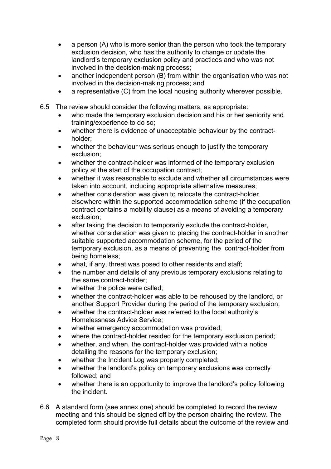- a person (A) who is more senior than the person who took the temporary exclusion decision, who has the authority to change or update the landlord's temporary exclusion policy and practices and who was not involved in the decision-making process;
- another independent person (B) from within the organisation who was not involved in the decision-making process; and
- a representative (C) from the local housing authority wherever possible.
- 6.5 The review should consider the following matters, as appropriate:
	- who made the temporary exclusion decision and his or her seniority and training/experience to do so;
	- whether there is evidence of unacceptable behaviour by the contractholder;
	- whether the behaviour was serious enough to justify the temporary exclusion;
	- whether the contract-holder was informed of the temporary exclusion policy at the start of the occupation contract;
	- whether it was reasonable to exclude and whether all circumstances were taken into account, including appropriate alternative measures;
	- whether consideration was given to relocate the contract-holder elsewhere within the supported accommodation scheme (if the occupation contract contains a mobility clause) as a means of avoiding a temporary exclusion;
	- after taking the decision to temporarily exclude the contract-holder, whether consideration was given to placing the contract-holder in another suitable supported accommodation scheme, for the period of the temporary exclusion, as a means of preventing the contract-holder from being homeless;
	- what, if any, threat was posed to other residents and staff;
	- the number and details of any previous temporary exclusions relating to the same contract-holder;
	- whether the police were called;
	- whether the contract-holder was able to be rehoused by the landlord, or another Support Provider during the period of the temporary exclusion;
	- whether the contract-holder was referred to the local authority's Homelessness Advice Service;
	- whether emergency accommodation was provided;
	- where the contract-holder resided for the temporary exclusion period;
	- whether, and when, the contract-holder was provided with a notice detailing the reasons for the temporary exclusion;
	- whether the Incident Log was properly completed;
	- whether the landlord's policy on temporary exclusions was correctly followed; and
	- whether there is an opportunity to improve the landlord's policy following the incident.
- 6.6 A standard form (see annex one) should be completed to record the review meeting and this should be signed off by the person chairing the review. The completed form should provide full details about the outcome of the review and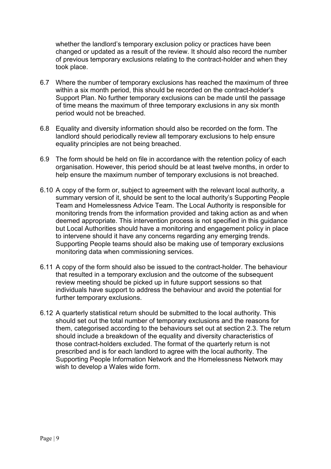whether the landlord's temporary exclusion policy or practices have been changed or updated as a result of the review. It should also record the number of previous temporary exclusions relating to the contract-holder and when they took place.

- 6.7 Where the number of temporary exclusions has reached the maximum of three within a six month period, this should be recorded on the contract-holder's Support Plan. No further temporary exclusions can be made until the passage of time means the maximum of three temporary exclusions in any six month period would not be breached.
- 6.8 Equality and diversity information should also be recorded on the form. The landlord should periodically review all temporary exclusions to help ensure equality principles are not being breached.
- 6.9 The form should be held on file in accordance with the retention policy of each organisation. However, this period should be at least twelve months, in order to help ensure the maximum number of temporary exclusions is not breached.
- 6.10 A copy of the form or, subject to agreement with the relevant local authority, a summary version of it, should be sent to the local authority's Supporting People Team and Homelessness Advice Team. The Local Authority is responsible for monitoring trends from the information provided and taking action as and when deemed appropriate. This intervention process is not specified in this guidance but Local Authorities should have a monitoring and engagement policy in place to intervene should it have any concerns regarding any emerging trends. Supporting People teams should also be making use of temporary exclusions monitoring data when commissioning services.
- 6.11 A copy of the form should also be issued to the contract-holder. The behaviour that resulted in a temporary exclusion and the outcome of the subsequent review meeting should be picked up in future support sessions so that individuals have support to address the behaviour and avoid the potential for further temporary exclusions.
- 6.12 A quarterly statistical return should be submitted to the local authority. This should set out the total number of temporary exclusions and the reasons for them, categorised according to the behaviours set out at section 2.3. The return should include a breakdown of the equality and diversity characteristics of those contract-holders excluded. The format of the quarterly return is not prescribed and is for each landlord to agree with the local authority. The Supporting People Information Network and the Homelessness Network may wish to develop a Wales wide form.